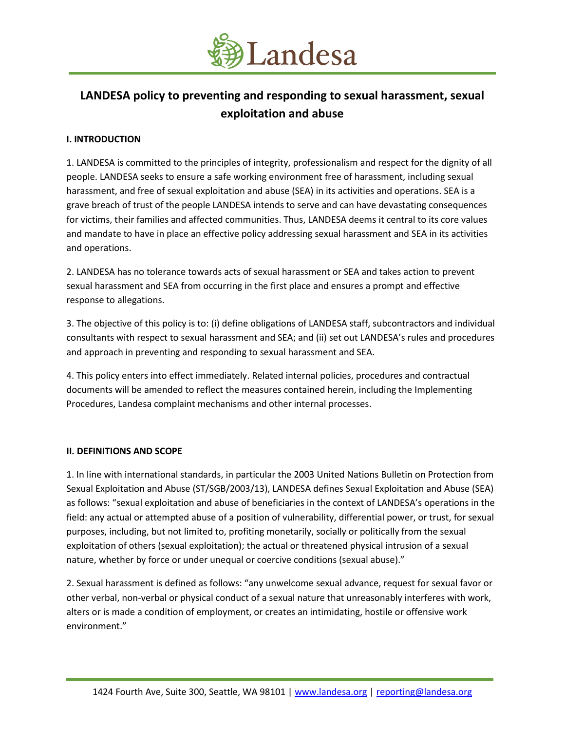

# **LANDESA policy to preventing and responding to sexual harassment, sexual exploitation and abuse**

## **I. INTRODUCTION**

1. LANDESA is committed to the principles of integrity, professionalism and respect for the dignity of all people. LANDESA seeks to ensure a safe working environment free of harassment, including sexual harassment, and free of sexual exploitation and abuse (SEA) in its activities and operations. SEA is a grave breach of trust of the people LANDESA intends to serve and can have devastating consequences for victims, their families and affected communities. Thus, LANDESA deems it central to its core values and mandate to have in place an effective policy addressing sexual harassment and SEA in its activities and operations.

2. LANDESA has no tolerance towards acts of sexual harassment or SEA and takes action to prevent sexual harassment and SEA from occurring in the first place and ensures a prompt and effective response to allegations.

3. The objective of this policy is to: (i) define obligations of LANDESA staff, subcontractors and individual consultants with respect to sexual harassment and SEA; and (ii) set out LANDESA's rules and procedures and approach in preventing and responding to sexual harassment and SEA.

4. This policy enters into effect immediately. Related internal policies, procedures and contractual documents will be amended to reflect the measures contained herein, including the Implementing Procedures, Landesa complaint mechanisms and other internal processes.

## **II. DEFINITIONS AND SCOPE**

1. In line with international standards, in particular the 2003 United Nations Bulletin on Protection from Sexual Exploitation and Abuse (ST/SGB/2003/13), LANDESA defines Sexual Exploitation and Abuse (SEA) as follows: "sexual exploitation and abuse of beneficiaries in the context of LANDESA's operations in the field: any actual or attempted abuse of a position of vulnerability, differential power, or trust, for sexual purposes, including, but not limited to, profiting monetarily, socially or politically from the sexual exploitation of others (sexual exploitation); the actual or threatened physical intrusion of a sexual nature, whether by force or under unequal or coercive conditions (sexual abuse)."

2. Sexual harassment is defined as follows: "any unwelcome sexual advance, request for sexual favor or other verbal, non-verbal or physical conduct of a sexual nature that unreasonably interferes with work, alters or is made a condition of employment, or creates an intimidating, hostile or offensive work environment."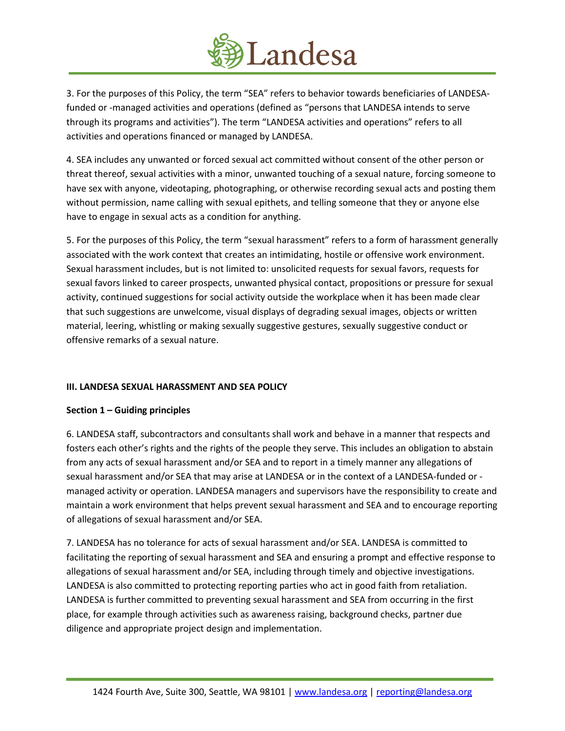

3. For the purposes of this Policy, the term "SEA" refers to behavior towards beneficiaries of LANDESAfunded or -managed activities and operations (defined as "persons that LANDESA intends to serve through its programs and activities"). The term "LANDESA activities and operations" refers to all activities and operations financed or managed by LANDESA.

4. SEA includes any unwanted or forced sexual act committed without consent of the other person or threat thereof, sexual activities with a minor, unwanted touching of a sexual nature, forcing someone to have sex with anyone, videotaping, photographing, or otherwise recording sexual acts and posting them without permission, name calling with sexual epithets, and telling someone that they or anyone else have to engage in sexual acts as a condition for anything.

5. For the purposes of this Policy, the term "sexual harassment" refers to a form of harassment generally associated with the work context that creates an intimidating, hostile or offensive work environment. Sexual harassment includes, but is not limited to: unsolicited requests for sexual favors, requests for sexual favors linked to career prospects, unwanted physical contact, propositions or pressure for sexual activity, continued suggestions for social activity outside the workplace when it has been made clear that such suggestions are unwelcome, visual displays of degrading sexual images, objects or written material, leering, whistling or making sexually suggestive gestures, sexually suggestive conduct or offensive remarks of a sexual nature.

# **III. LANDESA SEXUAL HARASSMENT AND SEA POLICY**

## **Section 1 – Guiding principles**

6. LANDESA staff, subcontractors and consultants shall work and behave in a manner that respects and fosters each other's rights and the rights of the people they serve. This includes an obligation to abstain from any acts of sexual harassment and/or SEA and to report in a timely manner any allegations of sexual harassment and/or SEA that may arise at LANDESA or in the context of a LANDESA-funded or managed activity or operation. LANDESA managers and supervisors have the responsibility to create and maintain a work environment that helps prevent sexual harassment and SEA and to encourage reporting of allegations of sexual harassment and/or SEA.

7. LANDESA has no tolerance for acts of sexual harassment and/or SEA. LANDESA is committed to facilitating the reporting of sexual harassment and SEA and ensuring a prompt and effective response to allegations of sexual harassment and/or SEA, including through timely and objective investigations. LANDESA is also committed to protecting reporting parties who act in good faith from retaliation. LANDESA is further committed to preventing sexual harassment and SEA from occurring in the first place, for example through activities such as awareness raising, background checks, partner due diligence and appropriate project design and implementation.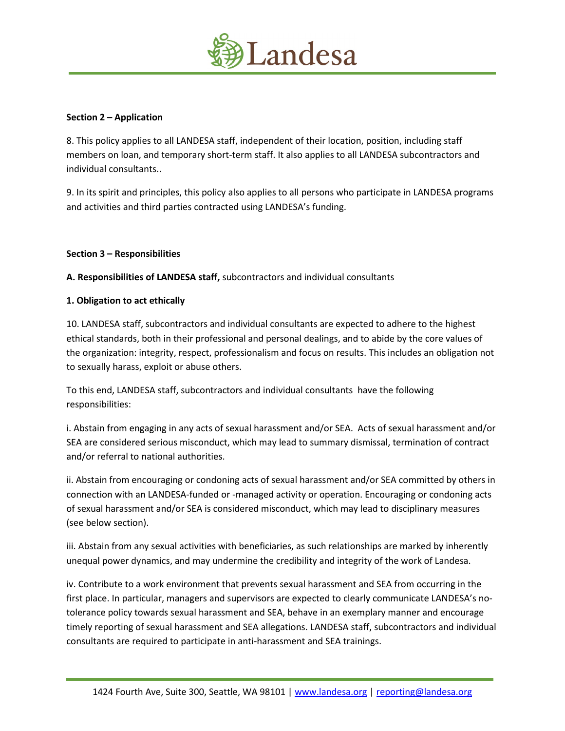

## **Section 2 – Application**

8. This policy applies to all LANDESA staff, independent of their location, position, including staff members on loan, and temporary short-term staff. It also applies to all LANDESA subcontractors and individual consultants..

9. In its spirit and principles, this policy also applies to all persons who participate in LANDESA programs and activities and third parties contracted using LANDESA's funding.

## **Section 3 – Responsibilities**

**A. Responsibilities of LANDESA staff,** subcontractors and individual consultants

#### **1. Obligation to act ethically**

10. LANDESA staff, subcontractors and individual consultants are expected to adhere to the highest ethical standards, both in their professional and personal dealings, and to abide by the core values of the organization: integrity, respect, professionalism and focus on results. This includes an obligation not to sexually harass, exploit or abuse others.

To this end, LANDESA staff, subcontractors and individual consultants have the following responsibilities:

i. Abstain from engaging in any acts of sexual harassment and/or SEA. Acts of sexual harassment and/or SEA are considered serious misconduct, which may lead to summary dismissal, termination of contract and/or referral to national authorities.

ii. Abstain from encouraging or condoning acts of sexual harassment and/or SEA committed by others in connection with an LANDESA-funded or -managed activity or operation. Encouraging or condoning acts of sexual harassment and/or SEA is considered misconduct, which may lead to disciplinary measures (see below section).

iii. Abstain from any sexual activities with beneficiaries, as such relationships are marked by inherently unequal power dynamics, and may undermine the credibility and integrity of the work of Landesa.

iv. Contribute to a work environment that prevents sexual harassment and SEA from occurring in the first place. In particular, managers and supervisors are expected to clearly communicate LANDESA's notolerance policy towards sexual harassment and SEA, behave in an exemplary manner and encourage timely reporting of sexual harassment and SEA allegations. LANDESA staff, subcontractors and individual consultants are required to participate in anti-harassment and SEA trainings.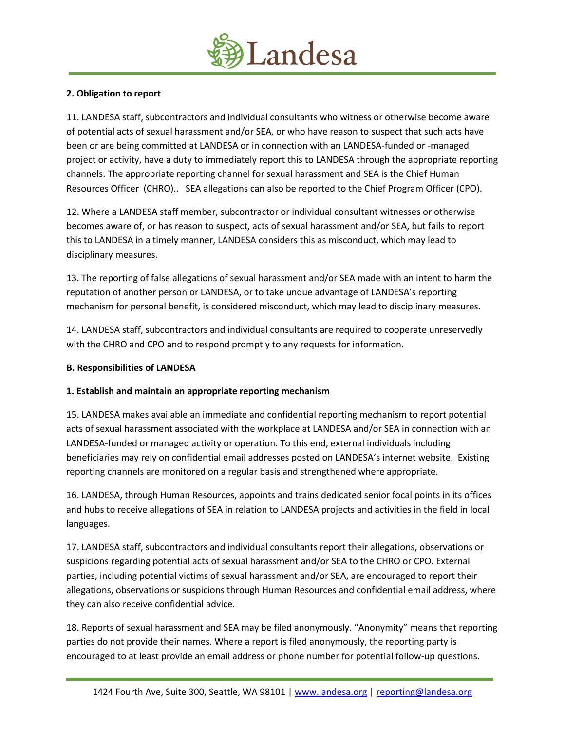

# **2. Obligation to report**

11. LANDESA staff, subcontractors and individual consultants who witness or otherwise become aware of potential acts of sexual harassment and/or SEA, or who have reason to suspect that such acts have been or are being committed at LANDESA or in connection with an LANDESA-funded or -managed project or activity, have a duty to immediately report this to LANDESA through the appropriate reporting channels. The appropriate reporting channel for sexual harassment and SEA is the Chief Human Resources Officer (CHRO).. SEA allegations can also be reported to the Chief Program Officer (CPO).

12. Where a LANDESA staff member, subcontractor or individual consultant witnesses or otherwise becomes aware of, or has reason to suspect, acts of sexual harassment and/or SEA, but fails to report this to LANDESA in a timely manner, LANDESA considers this as misconduct, which may lead to disciplinary measures.

13. The reporting of false allegations of sexual harassment and/or SEA made with an intent to harm the reputation of another person or LANDESA, or to take undue advantage of LANDESA's reporting mechanism for personal benefit, is considered misconduct, which may lead to disciplinary measures.

14. LANDESA staff, subcontractors and individual consultants are required to cooperate unreservedly with the CHRO and CPO and to respond promptly to any requests for information.

## **B. Responsibilities of LANDESA**

# **1. Establish and maintain an appropriate reporting mechanism**

15. LANDESA makes available an immediate and confidential reporting mechanism to report potential acts of sexual harassment associated with the workplace at LANDESA and/or SEA in connection with an LANDESA-funded or managed activity or operation. To this end, external individuals including beneficiaries may rely on confidential email addresses posted on LANDESA's internet website. Existing reporting channels are monitored on a regular basis and strengthened where appropriate.

16. LANDESA, through Human Resources, appoints and trains dedicated senior focal points in its offices and hubs to receive allegations of SEA in relation to LANDESA projects and activities in the field in local languages.

17. LANDESA staff, subcontractors and individual consultants report their allegations, observations or suspicions regarding potential acts of sexual harassment and/or SEA to the CHRO or CPO. External parties, including potential victims of sexual harassment and/or SEA, are encouraged to report their allegations, observations or suspicions through Human Resources and confidential email address, where they can also receive confidential advice.

18. Reports of sexual harassment and SEA may be filed anonymously. "Anonymity" means that reporting parties do not provide their names. Where a report is filed anonymously, the reporting party is encouraged to at least provide an email address or phone number for potential follow-up questions.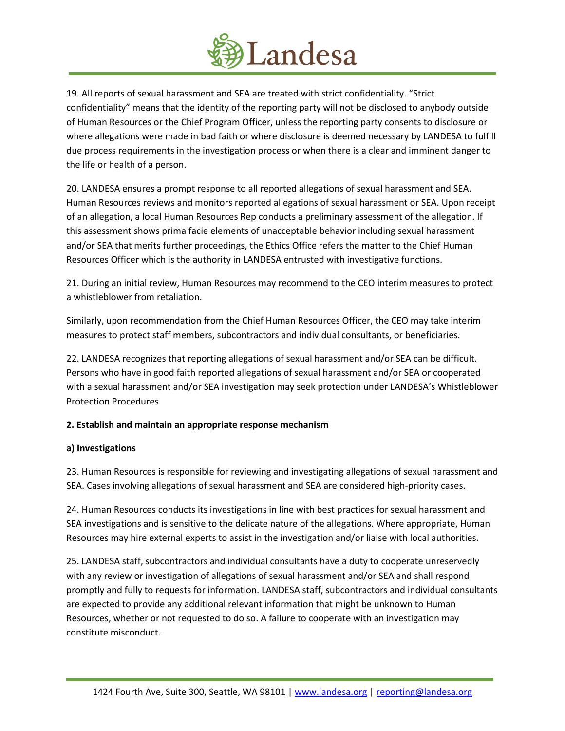

19. All reports of sexual harassment and SEA are treated with strict confidentiality. "Strict confidentiality" means that the identity of the reporting party will not be disclosed to anybody outside of Human Resources or the Chief Program Officer, unless the reporting party consents to disclosure or where allegations were made in bad faith or where disclosure is deemed necessary by LANDESA to fulfill due process requirements in the investigation process or when there is a clear and imminent danger to the life or health of a person.

20. LANDESA ensures a prompt response to all reported allegations of sexual harassment and SEA. Human Resources reviews and monitors reported allegations of sexual harassment or SEA. Upon receipt of an allegation, a local Human Resources Rep conducts a preliminary assessment of the allegation. If this assessment shows prima facie elements of unacceptable behavior including sexual harassment and/or SEA that merits further proceedings, the Ethics Office refers the matter to the Chief Human Resources Officer which is the authority in LANDESA entrusted with investigative functions.

21. During an initial review, Human Resources may recommend to the CEO interim measures to protect a whistleblower from retaliation.

Similarly, upon recommendation from the Chief Human Resources Officer, the CEO may take interim measures to protect staff members, subcontractors and individual consultants, or beneficiaries.

22. LANDESA recognizes that reporting allegations of sexual harassment and/or SEA can be difficult. Persons who have in good faith reported allegations of sexual harassment and/or SEA or cooperated with a sexual harassment and/or SEA investigation may seek protection under LANDESA's Whistleblower Protection Procedures

# **2. Establish and maintain an appropriate response mechanism**

## **a) Investigations**

23. Human Resources is responsible for reviewing and investigating allegations of sexual harassment and SEA. Cases involving allegations of sexual harassment and SEA are considered high-priority cases.

24. Human Resources conducts its investigations in line with best practices for sexual harassment and SEA investigations and is sensitive to the delicate nature of the allegations. Where appropriate, Human Resources may hire external experts to assist in the investigation and/or liaise with local authorities.

25. LANDESA staff, subcontractors and individual consultants have a duty to cooperate unreservedly with any review or investigation of allegations of sexual harassment and/or SEA and shall respond promptly and fully to requests for information. LANDESA staff, subcontractors and individual consultants are expected to provide any additional relevant information that might be unknown to Human Resources, whether or not requested to do so. A failure to cooperate with an investigation may constitute misconduct.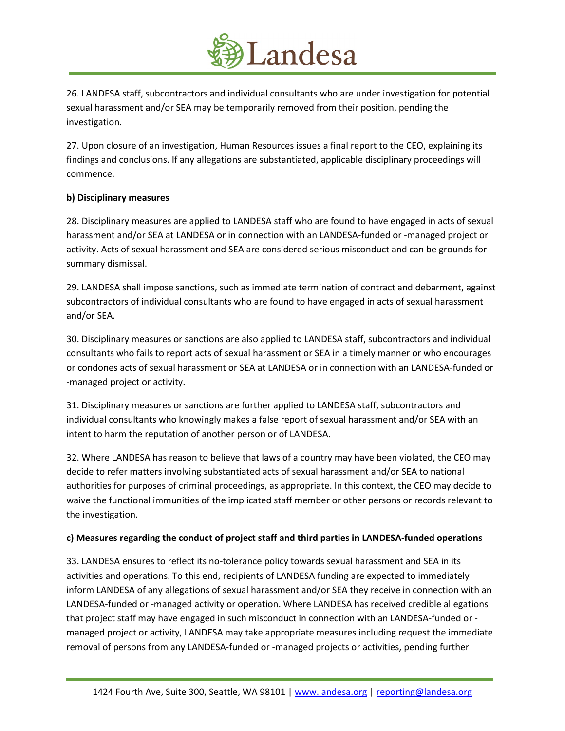

26. LANDESA staff, subcontractors and individual consultants who are under investigation for potential sexual harassment and/or SEA may be temporarily removed from their position, pending the investigation.

27. Upon closure of an investigation, Human Resources issues a final report to the CEO, explaining its findings and conclusions. If any allegations are substantiated, applicable disciplinary proceedings will commence.

## **b) Disciplinary measures**

28. Disciplinary measures are applied to LANDESA staff who are found to have engaged in acts of sexual harassment and/or SEA at LANDESA or in connection with an LANDESA-funded or -managed project or activity. Acts of sexual harassment and SEA are considered serious misconduct and can be grounds for summary dismissal.

29. LANDESA shall impose sanctions, such as immediate termination of contract and debarment, against subcontractors of individual consultants who are found to have engaged in acts of sexual harassment and/or SEA.

30. Disciplinary measures or sanctions are also applied to LANDESA staff, subcontractors and individual consultants who fails to report acts of sexual harassment or SEA in a timely manner or who encourages or condones acts of sexual harassment or SEA at LANDESA or in connection with an LANDESA-funded or -managed project or activity.

31. Disciplinary measures or sanctions are further applied to LANDESA staff, subcontractors and individual consultants who knowingly makes a false report of sexual harassment and/or SEA with an intent to harm the reputation of another person or of LANDESA.

32. Where LANDESA has reason to believe that laws of a country may have been violated, the CEO may decide to refer matters involving substantiated acts of sexual harassment and/or SEA to national authorities for purposes of criminal proceedings, as appropriate. In this context, the CEO may decide to waive the functional immunities of the implicated staff member or other persons or records relevant to the investigation.

# **c) Measures regarding the conduct of project staff and third parties in LANDESA-funded operations**

33. LANDESA ensures to reflect its no-tolerance policy towards sexual harassment and SEA in its activities and operations. To this end, recipients of LANDESA funding are expected to immediately inform LANDESA of any allegations of sexual harassment and/or SEA they receive in connection with an LANDESA-funded or -managed activity or operation. Where LANDESA has received credible allegations that project staff may have engaged in such misconduct in connection with an LANDESA-funded or managed project or activity, LANDESA may take appropriate measures including request the immediate removal of persons from any LANDESA-funded or -managed projects or activities, pending further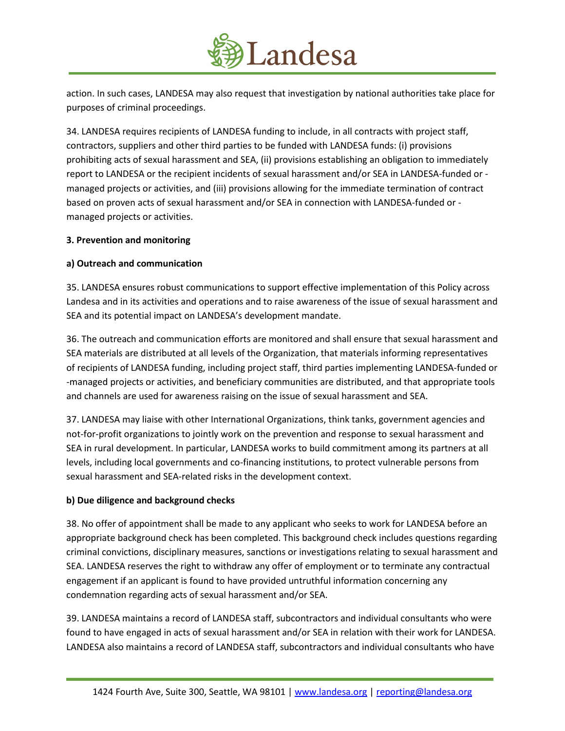

action. In such cases, LANDESA may also request that investigation by national authorities take place for purposes of criminal proceedings.

34. LANDESA requires recipients of LANDESA funding to include, in all contracts with project staff, contractors, suppliers and other third parties to be funded with LANDESA funds: (i) provisions prohibiting acts of sexual harassment and SEA, (ii) provisions establishing an obligation to immediately report to LANDESA or the recipient incidents of sexual harassment and/or SEA in LANDESA-funded or managed projects or activities, and (iii) provisions allowing for the immediate termination of contract based on proven acts of sexual harassment and/or SEA in connection with LANDESA-funded or managed projects or activities.

## **3. Prevention and monitoring**

## **a) Outreach and communication**

35. LANDESA ensures robust communications to support effective implementation of this Policy across Landesa and in its activities and operations and to raise awareness of the issue of sexual harassment and SEA and its potential impact on LANDESA's development mandate.

36. The outreach and communication efforts are monitored and shall ensure that sexual harassment and SEA materials are distributed at all levels of the Organization, that materials informing representatives of recipients of LANDESA funding, including project staff, third parties implementing LANDESA-funded or -managed projects or activities, and beneficiary communities are distributed, and that appropriate tools and channels are used for awareness raising on the issue of sexual harassment and SEA.

37. LANDESA may liaise with other International Organizations, think tanks, government agencies and not-for-profit organizations to jointly work on the prevention and response to sexual harassment and SEA in rural development. In particular, LANDESA works to build commitment among its partners at all levels, including local governments and co-financing institutions, to protect vulnerable persons from sexual harassment and SEA-related risks in the development context.

## **b) Due diligence and background checks**

38. No offer of appointment shall be made to any applicant who seeks to work for LANDESA before an appropriate background check has been completed. This background check includes questions regarding criminal convictions, disciplinary measures, sanctions or investigations relating to sexual harassment and SEA. LANDESA reserves the right to withdraw any offer of employment or to terminate any contractual engagement if an applicant is found to have provided untruthful information concerning any condemnation regarding acts of sexual harassment and/or SEA.

39. LANDESA maintains a record of LANDESA staff, subcontractors and individual consultants who were found to have engaged in acts of sexual harassment and/or SEA in relation with their work for LANDESA. LANDESA also maintains a record of LANDESA staff, subcontractors and individual consultants who have